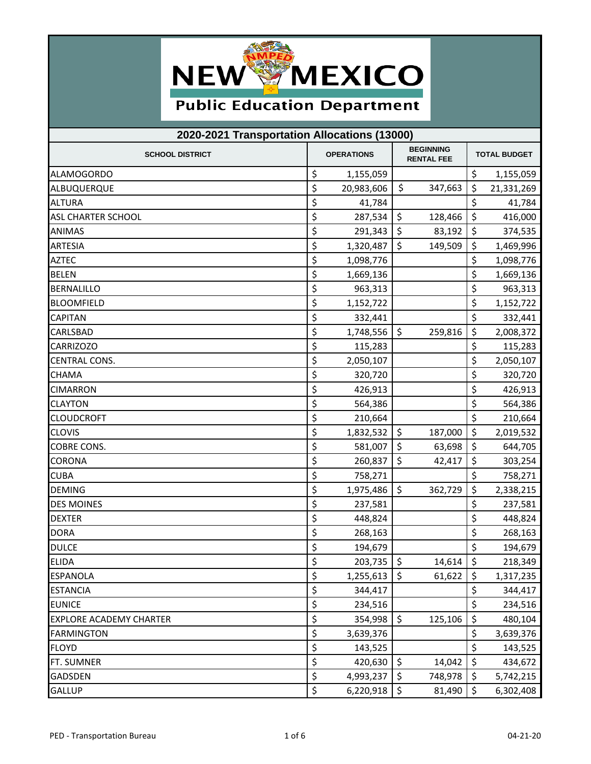

## **Public Education Department**

| 2020-2021 Transportation Allocations (13000) |    |                   |                                       |             |                     |            |  |  |
|----------------------------------------------|----|-------------------|---------------------------------------|-------------|---------------------|------------|--|--|
| <b>SCHOOL DISTRICT</b>                       |    | <b>OPERATIONS</b> | <b>BEGINNING</b><br><b>RENTAL FEE</b> |             | <b>TOTAL BUDGET</b> |            |  |  |
| <b>ALAMOGORDO</b>                            | \$ | 1,155,059         |                                       |             | \$                  | 1,155,059  |  |  |
| ALBUQUERQUE                                  | \$ | 20,983,606        | \$                                    | 347,663     | \$                  | 21,331,269 |  |  |
| <b>ALTURA</b>                                | \$ | 41,784            |                                       |             | \$                  | 41,784     |  |  |
| <b>ASL CHARTER SCHOOL</b>                    | \$ | 287,534           | \$                                    | 128,466     | \$                  | 416,000    |  |  |
| <b>ANIMAS</b>                                | \$ | 291,343           | \$                                    | 83,192      | \$                  | 374,535    |  |  |
| <b>ARTESIA</b>                               | \$ | 1,320,487         | \$                                    | 149,509     | \$                  | 1,469,996  |  |  |
| <b>AZTEC</b>                                 | \$ | 1,098,776         |                                       |             | \$                  | 1,098,776  |  |  |
| <b>BELEN</b>                                 | \$ | 1,669,136         |                                       |             | \$                  | 1,669,136  |  |  |
| <b>BERNALILLO</b>                            | \$ | 963,313           |                                       |             | \$                  | 963,313    |  |  |
| <b>BLOOMFIELD</b>                            | \$ | 1,152,722         |                                       |             | \$                  | 1,152,722  |  |  |
| <b>CAPITAN</b>                               | \$ | 332,441           |                                       |             | \$                  | 332,441    |  |  |
| CARLSBAD                                     | \$ | 1,748,556         | \$                                    | 259,816     | \$                  | 2,008,372  |  |  |
| <b>CARRIZOZO</b>                             | \$ | 115,283           |                                       |             | \$                  | 115,283    |  |  |
| <b>CENTRAL CONS.</b>                         | \$ | 2,050,107         |                                       |             | \$                  | 2,050,107  |  |  |
| <b>CHAMA</b>                                 | \$ | 320,720           |                                       |             | \$                  | 320,720    |  |  |
| <b>CIMARRON</b>                              | \$ | 426,913           |                                       |             | \$                  | 426,913    |  |  |
| <b>CLAYTON</b>                               | \$ | 564,386           |                                       |             | \$                  | 564,386    |  |  |
| <b>CLOUDCROFT</b>                            | \$ | 210,664           |                                       |             | \$                  | 210,664    |  |  |
| <b>CLOVIS</b>                                | \$ | 1,832,532         | \$                                    | 187,000     | \$                  | 2,019,532  |  |  |
| <b>COBRE CONS.</b>                           | \$ | 581,007           | \$                                    | 63,698      | \$                  | 644,705    |  |  |
| <b>CORONA</b>                                | \$ | 260,837           | \$                                    | 42,417      | \$                  | 303,254    |  |  |
| <b>CUBA</b>                                  | \$ | 758,271           |                                       |             | \$                  | 758,271    |  |  |
| <b>DEMING</b>                                | \$ | 1,975,486         | \$                                    | 362,729     | \$                  | 2,338,215  |  |  |
| <b>DES MOINES</b>                            | \$ | 237,581           |                                       |             | \$                  | 237,581    |  |  |
| <b>DEXTER</b>                                | \$ | 448,824           |                                       |             | \$                  | 448,824    |  |  |
| <b>DORA</b>                                  | \$ | 268,163           |                                       |             | \$                  | 268,163    |  |  |
| <b>DULCE</b>                                 | \$ | 194,679           |                                       |             | \$                  | 194,679    |  |  |
| <b>ELIDA</b>                                 | \$ | $203,735$ \$      |                                       | $14,614$ \$ |                     | 218,349    |  |  |
| <b>ESPANOLA</b>                              | \$ | 1,255,613         | \$                                    | 61,622      | \$                  | 1,317,235  |  |  |
| <b>ESTANCIA</b>                              | \$ | 344,417           |                                       |             | \$                  | 344,417    |  |  |
| <b>EUNICE</b>                                | \$ | 234,516           |                                       |             | \$                  | 234,516    |  |  |
| <b>EXPLORE ACADEMY CHARTER</b>               | \$ | 354,998           | \$                                    | 125,106     | \$                  | 480,104    |  |  |
| <b>FARMINGTON</b>                            | \$ | 3,639,376         |                                       |             | \$                  | 3,639,376  |  |  |
| <b>FLOYD</b>                                 | \$ | 143,525           |                                       |             | \$                  | 143,525    |  |  |
| FT. SUMNER                                   | \$ | 420,630           | \$                                    | 14,042      | \$                  | 434,672    |  |  |
| <b>GADSDEN</b>                               | \$ | 4,993,237         | \$                                    | 748,978     | \$                  | 5,742,215  |  |  |
| <b>GALLUP</b>                                | \$ | 6,220,918         | \$                                    | 81,490      | \$                  | 6,302,408  |  |  |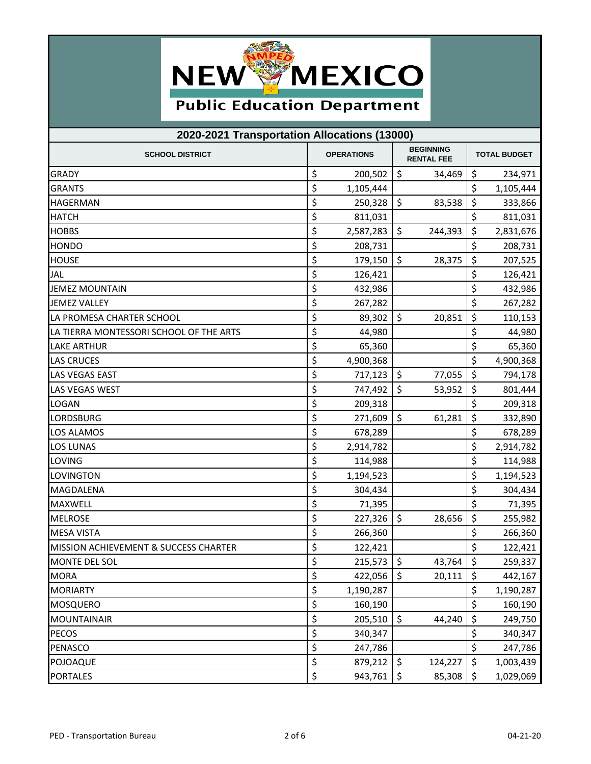

## **Public Education Department**

| 2020-2021 Transportation Allocations (13000) |    |                                                            |                          |                     |         |           |  |  |
|----------------------------------------------|----|------------------------------------------------------------|--------------------------|---------------------|---------|-----------|--|--|
| <b>SCHOOL DISTRICT</b>                       |    | <b>BEGINNING</b><br><b>OPERATIONS</b><br><b>RENTAL FEE</b> |                          | <b>TOTAL BUDGET</b> |         |           |  |  |
| <b>GRADY</b>                                 | \$ | 200,502                                                    | \$                       | 34,469              | \$      | 234,971   |  |  |
| <b>GRANTS</b>                                | \$ | 1,105,444                                                  |                          |                     | \$      | 1,105,444 |  |  |
| <b>HAGERMAN</b>                              | \$ | 250,328                                                    | \$                       | 83,538              | \$      | 333,866   |  |  |
| <b>HATCH</b>                                 | \$ | 811,031                                                    |                          |                     | \$      | 811,031   |  |  |
| <b>HOBBS</b>                                 | \$ | 2,587,283                                                  | \$                       | 244,393             | \$      | 2,831,676 |  |  |
| <b>HONDO</b>                                 | \$ | 208,731                                                    |                          |                     | \$      | 208,731   |  |  |
| <b>HOUSE</b>                                 | \$ | 179,150                                                    | \$                       | 28,375              | \$      | 207,525   |  |  |
| <b>JAL</b>                                   | \$ | 126,421                                                    |                          |                     | \$      | 126,421   |  |  |
| <b>JEMEZ MOUNTAIN</b>                        | \$ | 432,986                                                    |                          |                     | \$      | 432,986   |  |  |
| <b>JEMEZ VALLEY</b>                          | \$ | 267,282                                                    |                          |                     | \$      | 267,282   |  |  |
| LA PROMESA CHARTER SCHOOL                    | \$ | 89,302                                                     | \$                       | 20,851              | \$      | 110,153   |  |  |
| LA TIERRA MONTESSORI SCHOOL OF THE ARTS      | \$ | 44,980                                                     |                          |                     | \$      | 44,980    |  |  |
| <b>LAKE ARTHUR</b>                           | \$ | 65,360                                                     |                          |                     | \$      | 65,360    |  |  |
| <b>LAS CRUCES</b>                            | \$ | 4,900,368                                                  |                          |                     | \$      | 4,900,368 |  |  |
| LAS VEGAS EAST                               | \$ | 717,123                                                    | \$                       | 77,055              | \$      | 794,178   |  |  |
| <b>LAS VEGAS WEST</b>                        | \$ | 747,492                                                    | \$                       | 53,952              | \$      | 801,444   |  |  |
| <b>LOGAN</b>                                 | \$ | 209,318                                                    |                          |                     | \$      | 209,318   |  |  |
| LORDSBURG                                    | \$ | 271,609                                                    | \$                       | 61,281              | \$      | 332,890   |  |  |
| LOS ALAMOS                                   | \$ | 678,289                                                    |                          |                     | \$      | 678,289   |  |  |
| <b>LOS LUNAS</b>                             | \$ | 2,914,782                                                  |                          |                     | \$      | 2,914,782 |  |  |
| LOVING                                       | \$ | 114,988                                                    |                          |                     | \$      | 114,988   |  |  |
| LOVINGTON                                    | \$ | 1,194,523                                                  |                          |                     | \$      | 1,194,523 |  |  |
| MAGDALENA                                    | \$ | 304,434                                                    |                          |                     | \$      | 304,434   |  |  |
| <b>MAXWELL</b>                               | \$ | 71,395                                                     |                          |                     | \$      | 71,395    |  |  |
| <b>MELROSE</b>                               | \$ | 227,326                                                    | \$                       | 28,656              | \$      | 255,982   |  |  |
| <b>MESA VISTA</b>                            | \$ | 266,360                                                    |                          |                     | \$      | 266,360   |  |  |
| MISSION ACHIEVEMENT & SUCCESS CHARTER        | \$ | 122,421                                                    |                          |                     | \$      | 122,421   |  |  |
| MONTE DEL SOL                                | \$ | 215,573                                                    | $\overline{\phantom{a}}$ | 43,764 \$           |         | 259,337   |  |  |
| <b>MORA</b>                                  | \$ | 422,056                                                    | \$                       | 20,111              | $\zeta$ | 442,167   |  |  |
| <b>MORIARTY</b>                              | \$ | 1,190,287                                                  |                          |                     | \$      | 1,190,287 |  |  |
| <b>MOSQUERO</b>                              | \$ | 160,190                                                    |                          |                     | \$      | 160,190   |  |  |
| <b>MOUNTAINAIR</b>                           | \$ | 205,510                                                    | \$                       | 44,240              | \$      | 249,750   |  |  |
| <b>PECOS</b>                                 | \$ | 340,347                                                    |                          |                     | \$      | 340,347   |  |  |
| PENASCO                                      | \$ | 247,786                                                    |                          |                     | \$      | 247,786   |  |  |
| POJOAQUE                                     | \$ | 879,212                                                    | \$                       | 124,227             | \$      | 1,003,439 |  |  |
| <b>PORTALES</b>                              | \$ | 943,761                                                    | \$                       | 85,308              | $\zeta$ | 1,029,069 |  |  |